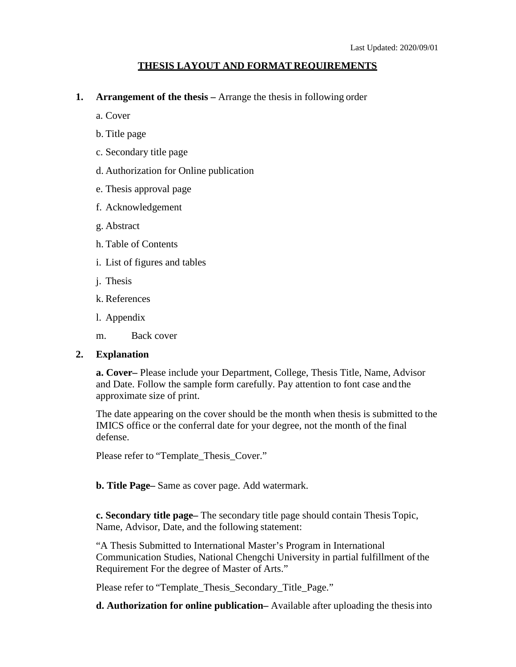## **THESIS LAYOUT AND FORMAT REQUIREMENTS**

**1. Arrangement of the thesis –** Arrange the thesis in following order

a. Cover

- b. Title page
- c. Secondary title page
- d. Authorization for Online publication
- e. Thesis approval page
- f. Acknowledgement
- g. Abstract
- h. Table of Contents
- i. List of figures and tables
- j. Thesis
- k. References
- l. Appendix
- m. Back cover

## **2. Explanation**

**a. Cover–** Please include your Department, College, Thesis Title, Name, Advisor and Date. Follow the sample form carefully. Pay attention to font case and the approximate size of print.

The date appearing on the cover should be the month when thesis is submitted to the IMICS office or the conferral date for your degree, not the month of the final defense.

Please refer to "Template\_Thesis\_Cover."

**b. Title Page–** Same as cover page. Add watermark.

**c. Secondary title page–** The secondary title page should contain Thesis Topic, Name, Advisor, Date, and the following statement:

"A Thesis Submitted to International Master's Program in International Communication Studies, National Chengchi University in partial fulfillment of the Requirement For the degree of Master of Arts."

Please refer to "Template\_Thesis\_Secondary\_Title\_Page."

**d. Authorization for online publication–** Available after uploading the thesisinto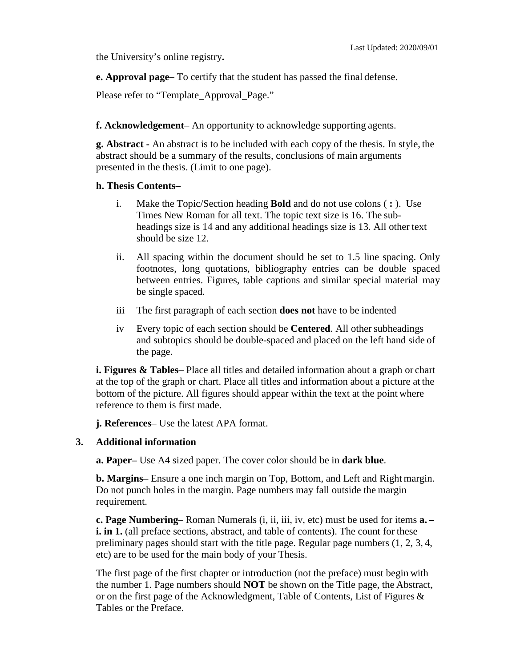the University's online registry**.**

**e. Approval page–** To certify that the student has passed the final defense.

Please refer to "Template\_Approval\_Page."

**f. Acknowledgement**– An opportunity to acknowledge supporting agents.

**g. Abstract -** An abstract is to be included with each copy of the thesis. In style, the abstract should be a summary of the results, conclusions of main arguments presented in the thesis. (Limit to one page).

## **h. Thesis Contents–**

- i. Make the Topic/Section heading **Bold** and do not use colons ( **:** ). Use Times New Roman for all text. The topic text size is 16. The subheadings size is 14 and any additional headings size is 13. All other text should be size 12.
- ii. All spacing within the document should be set to 1.5 line spacing. Only footnotes, long quotations, bibliography entries can be double spaced between entries. Figures, table captions and similar special material may be single spaced.
- iii The first paragraph of each section **does not** have to be indented
- iv Every topic of each section should be **Centered**. All other subheadings and subtopics should be double-spaced and placed on the left hand side of the page.

**i. Figures & Tables**– Place all titles and detailed information about a graph or chart at the top of the graph or chart. Place all titles and information about a picture at the bottom of the picture. All figures should appear within the text at the point where reference to them is first made.

**j. References**– Use the latest APA format.

## **3. Additional information**

**a. Paper–** Use A4 sized paper. The cover color should be in **dark blue**.

**b. Margins–** Ensure a one inch margin on Top, Bottom, and Left and Right margin. Do not punch holes in the margin. Page numbers may fall outside the margin requirement.

**c. Page Numbering**– Roman Numerals (i, ii, iii, iv, etc) must be used for items **a. – i. in 1.** (all preface sections, abstract, and table of contents). The count for these preliminary pages should start with the title page. Regular page numbers (1, 2, 3, 4, etc) are to be used for the main body of your Thesis.

The first page of the first chapter or introduction (not the preface) must begin with the number 1. Page numbers should **NOT** be shown on the Title page, the Abstract, or on the first page of the Acknowledgment, Table of Contents, List of Figures & Tables or the Preface.